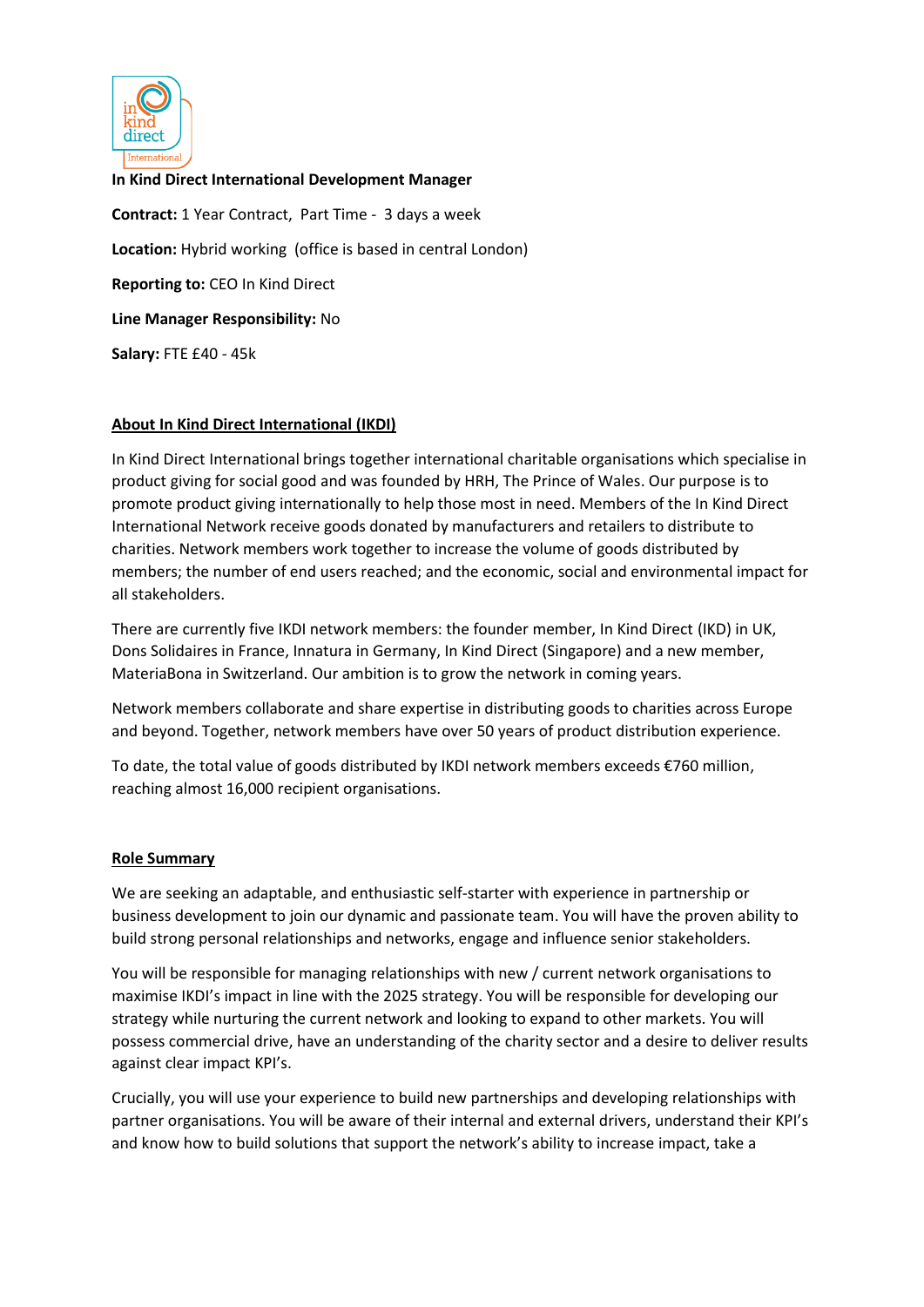

**In Kind Direct International Development Manager Contract:** 1 Year Contract, Part Time - 3 days a week **Location:** Hybrid working (office is based in central London) **Reporting to:** CEO In Kind Direct **Line Manager Responsibility:** No **Salary:** FTE £40 - 45k

# **About In Kind Direct International (IKDI)**

In Kind Direct International brings together international charitable organisations which specialise in product giving for social good and was founded by HRH, The Prince of Wales. Our purpose is to promote product giving internationally to help those most in need. Members of the In Kind Direct International Network receive goods donated by manufacturers and retailers to distribute to charities. Network members work together to increase the volume of goods distributed by members; the number of end users reached; and the economic, social and environmental impact for all stakeholders.

There are currently five IKDI network members: the founder member, In Kind Direct (IKD) in UK, Dons Solidaires in France, Innatura in Germany, In Kind Direct (Singapore) and a new member, MateriaBona in Switzerland. Our ambition is to grow the network in coming years.

Network members collaborate and share expertise in distributing goods to charities across Europe and beyond. Together, network members have over 50 years of product distribution experience.

To date, the total value of goods distributed by IKDI network members exceeds €760 million, reaching almost 16,000 recipient organisations.

#### **Role Summary**

We are seeking an adaptable, and enthusiastic self-starter with experience in partnership or business development to join our dynamic and passionate team. You will have the proven ability to build strong personal relationships and networks, engage and influence senior stakeholders.

You will be responsible for managing relationships with new / current network organisations to maximise IKDI's impact in line with the 2025 strategy. You will be responsible for developing our strategy while nurturing the current network and looking to expand to other markets. You will possess commercial drive, have an understanding of the charity sector and a desire to deliver results against clear impact KPI's.

Crucially, you will use your experience to build new partnerships and developing relationships with partner organisations. You will be aware of their internal and external drivers, understand their KPI's and know how to build solutions that support the network's ability to increase impact, take a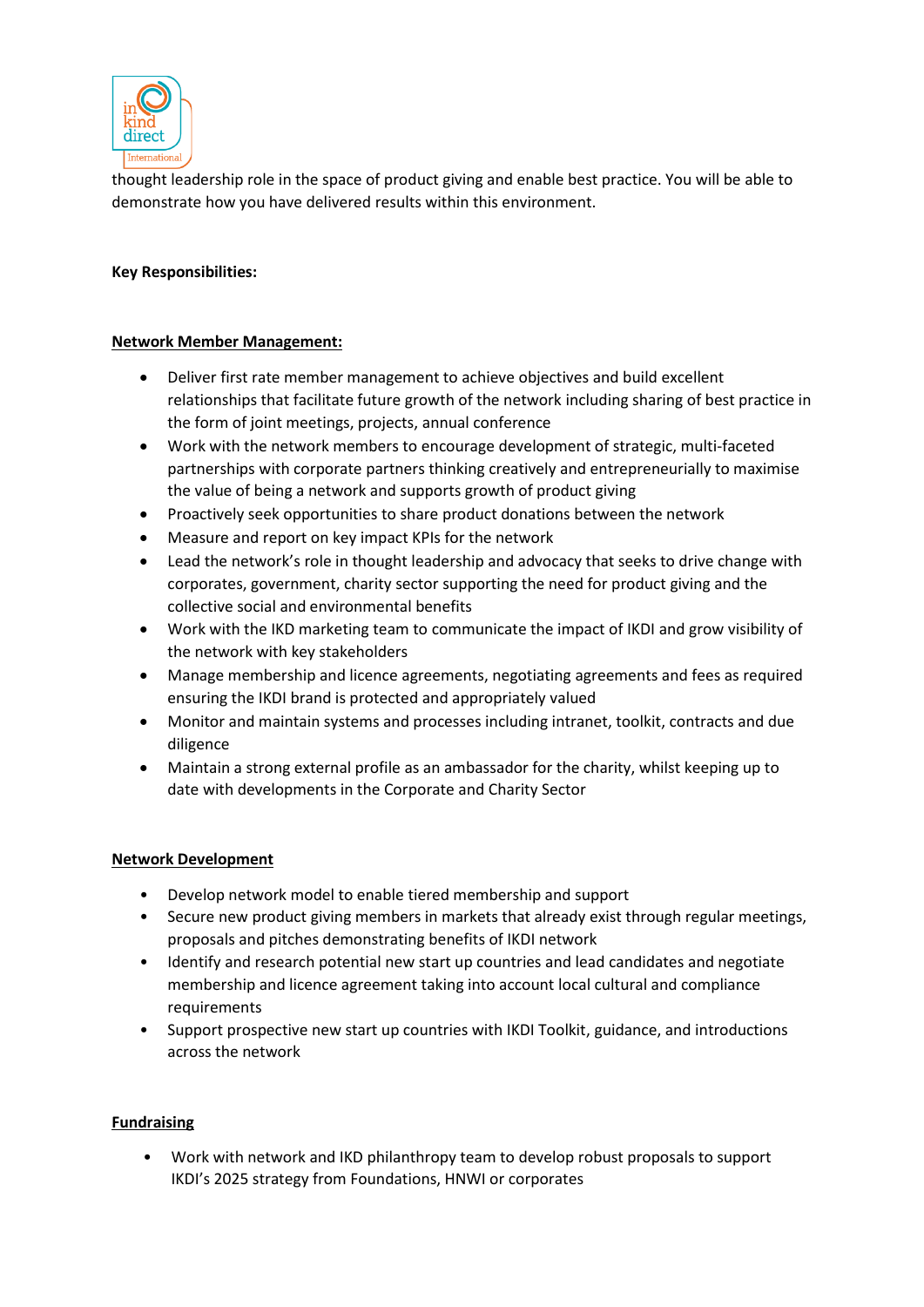

thought leadership role in the space of product giving and enable best practice. You will be able to demonstrate how you have delivered results within this environment.

## **Key Responsibilities:**

## **Network Member Management:**

- Deliver first rate member management to achieve objectives and build excellent relationships that facilitate future growth of the network including sharing of best practice in the form of joint meetings, projects, annual conference
- Work with the network members to encourage development of strategic, multi-faceted partnerships with corporate partners thinking creatively and entrepreneurially to maximise the value of being a network and supports growth of product giving
- Proactively seek opportunities to share product donations between the network
- Measure and report on key impact KPIs for the network
- Lead the network's role in thought leadership and advocacy that seeks to drive change with corporates, government, charity sector supporting the need for product giving and the collective social and environmental benefits
- Work with the IKD marketing team to communicate the impact of IKDI and grow visibility of the network with key stakeholders
- Manage membership and licence agreements, negotiating agreements and fees as required ensuring the IKDI brand is protected and appropriately valued
- Monitor and maintain systems and processes including intranet, toolkit, contracts and due diligence
- Maintain a strong external profile as an ambassador for the charity, whilst keeping up to date with developments in the Corporate and Charity Sector

#### **Network Development**

- Develop network model to enable tiered membership and support
- Secure new product giving members in markets that already exist through regular meetings, proposals and pitches demonstrating benefits of IKDI network
- Identify and research potential new start up countries and lead candidates and negotiate membership and licence agreement taking into account local cultural and compliance requirements
- Support prospective new start up countries with IKDI Toolkit, guidance, and introductions across the network

## **Fundraising**

• Work with network and IKD philanthropy team to develop robust proposals to support IKDI's 2025 strategy from Foundations, HNWI or corporates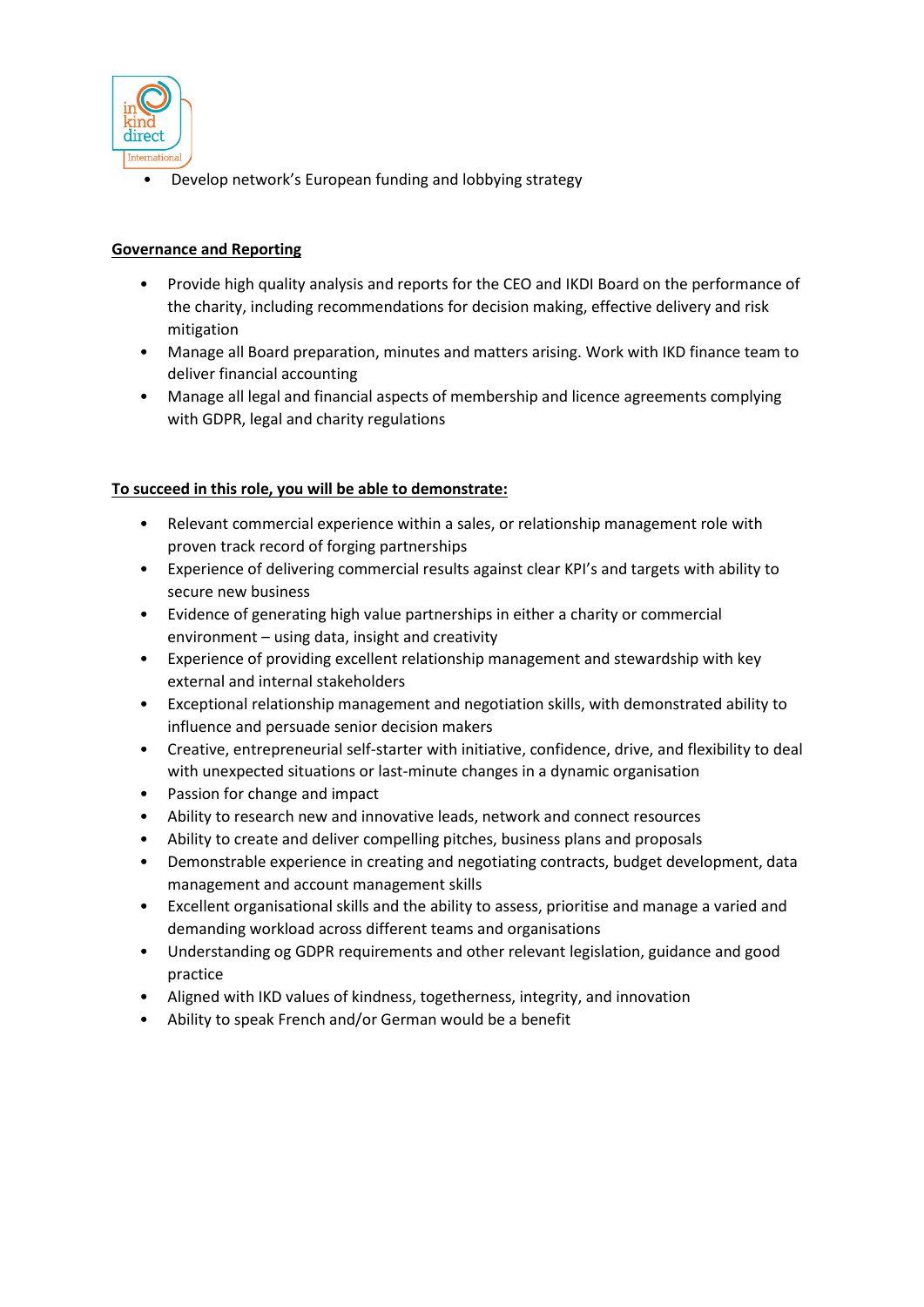

• Develop network's European funding and lobbying strategy

# **Governance and Reporting**

- Provide high quality analysis and reports for the CEO and IKDI Board on the performance of the charity, including recommendations for decision making, effective delivery and risk mitigation
- Manage all Board preparation, minutes and matters arising. Work with IKD finance team to deliver financial accounting
- Manage all legal and financial aspects of membership and licence agreements complying with GDPR, legal and charity regulations

## **To succeed in this role, you will be able to demonstrate:**

- Relevant commercial experience within a sales, or relationship management role with proven track record of forging partnerships
- Experience of delivering commercial results against clear KPI's and targets with ability to secure new business
- Evidence of generating high value partnerships in either a charity or commercial environment – using data, insight and creativity
- Experience of providing excellent relationship management and stewardship with key external and internal stakeholders
- Exceptional relationship management and negotiation skills, with demonstrated ability to influence and persuade senior decision makers
- Creative, entrepreneurial self-starter with initiative, confidence, drive, and flexibility to deal with unexpected situations or last-minute changes in a dynamic organisation
- Passion for change and impact
- Ability to research new and innovative leads, network and connect resources
- Ability to create and deliver compelling pitches, business plans and proposals
- Demonstrable experience in creating and negotiating contracts, budget development, data management and account management skills
- Excellent organisational skills and the ability to assess, prioritise and manage a varied and demanding workload across different teams and organisations
- Understanding og GDPR requirements and other relevant legislation, guidance and good practice
- Aligned with IKD values of kindness, togetherness, integrity, and innovation
- Ability to speak French and/or German would be a benefit